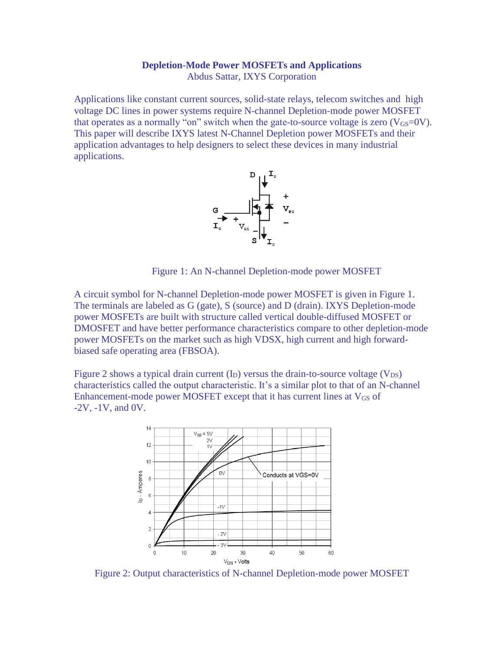### **Depletion-Mode Power MOSFETs and Applications** Abdus Sattar, IXYS Corporation

Applications like constant current sources, solid-state relays, telecom switches and high voltage DC lines in power systems require N-channel Depletion-mode power MOSFET that operates as a normally "on" switch when the gate-to-source voltage is zero  $(V_{GS}=0V)$ . This paper will describe IXYS latest N-Channel Depletion power MOSFETs and their application advantages to help designers to select these devices in many industrial applications.



Figure 1: An N-channel Depletion-mode power MOSFET

A circuit symbol for N-channel Depletion-mode power MOSFET is given in Figure 1. The terminals are labeled as G (gate), S (source) and D (drain). IXYS Depletion-mode power MOSFETs are built with structure called vertical double-diffused MOSFET or DMOSFET and have better performance characteristics compare to other depletion-mode power MOSFETs on the market such as high VDSX, high current and high forwardbiased safe operating area (FBSOA).

Figure 2 shows a typical drain current  $(I_D)$  versus the drain-to-source voltage  $(V_{DS})$ characteristics called the output characteristic. It's a similar plot to that of an N-channel Enhancement-mode power MOSFET except that it has current lines at  $V_{GS}$  of  $-2V$ ,  $-1V$ , and  $0V$ .



Figure 2: Output characteristics of N-channel Depletion-mode power MOSFET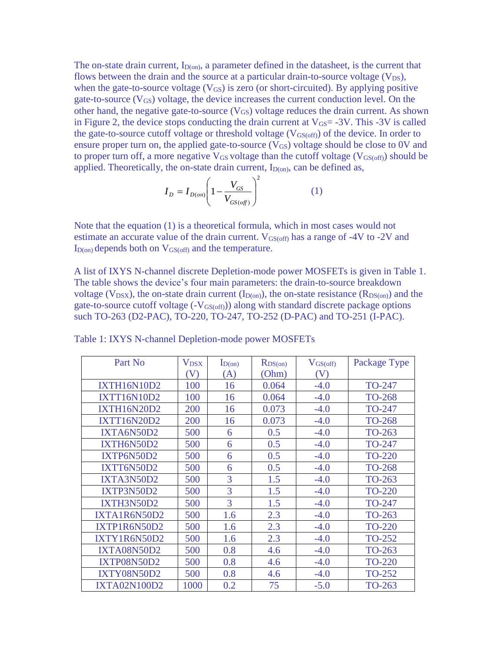The on-state drain current,  $I_{D(0n)}$ , a parameter defined in the datasheet, is the current that flows between the drain and the source at a particular drain-to-source voltage  $(V_{DS})$ , when the gate-to-source voltage  $(V_{GS})$  is zero (or short-circuited). By applying positive gate-to-source  $(V_{GS})$  voltage, the device increases the current conduction level. On the other hand, the negative gate-to-source  $(V_{GS})$  voltage reduces the drain current. As shown in Figure 2, the device stops conducting the drain current at  $V_{GS} = -3V$ . This  $-3V$  is called the gate-to-source cutoff voltage or threshold voltage  $(V_{GS(off)})$  of the device. In order to ensure proper turn on, the applied gate-to-source  $(V_{GS})$  voltage should be close to 0V and to proper turn off, a more negative  $V_{GS}$  voltage than the cutoff voltage ( $V_{GS(off)}$ ) should be applied. Theoretically, the on-state drain current,  $I_{D(0n)}$ , can be defined as,  $\sim$  2

$$
I_D = I_{D(on)} \left( 1 - \frac{V_{GS}}{V_{GS(off)}} \right)^2
$$
 (1)

Note that the equation (1) is a theoretical formula, which in most cases would not estimate an accurate value of the drain current.  $V_{GS(off)}$  has a range of -4V to -2V and  $I_{D(0n)}$  depends both on  $V_{GS(off)}$  and the temperature.

A list of IXYS N-channel discrete Depletion-mode power MOSFETs is given in Table 1. The table shows the device's four main parameters: the drain-to-source breakdown voltage ( $V_{DSX}$ ), the on-state drain current ( $I_{D(0n)}$ ), the on-state resistance ( $R_{DS(0n)}$ ) and the gate-to-source cutoff voltage (-VGS(off))) along with standard discrete package options such TO-263 (D2-PAC), TO-220, TO-247, TO-252 (D-PAC) and TO-251 (I-PAC).

| Part No             | $V_{DSX}$                  | $I_{D(0n)}$ | $R_{DS(on)}$ | $V_{GS(off)}$ | Package Type  |
|---------------------|----------------------------|-------------|--------------|---------------|---------------|
|                     | $\left( \mathrm{V}\right)$ | (A)         | (Ohm)        | (V)           |               |
| IXTH16N10D2         | 100                        | 16          | 0.064        | $-4.0$        | TO-247        |
| <b>IXTT16N10D2</b>  | 100                        | 16          | 0.064        | $-4.0$        | <b>TO-268</b> |
| <b>IXTH16N20D2</b>  | 200                        | 16          | 0.073        | $-4.0$        | TO-247        |
| <b>IXTT16N20D2</b>  | 200                        | 16          | 0.073        | $-4.0$        | <b>TO-268</b> |
| IXTA6N50D2          | 500                        | 6           | 0.5          | $-4.0$        | TO-263        |
| IXTH6N50D2          | 500                        | 6           | 0.5          | $-4.0$        | TO-247        |
| IXTP6N50D2          | 500                        | 6           | 0.5          | $-4.0$        | <b>TO-220</b> |
| IXTT6N50D2          | 500                        | 6           | 0.5          | $-4.0$        | <b>TO-268</b> |
| IXTA3N50D2          | 500                        | 3           | 1.5          | $-4.0$        | TO-263        |
| IXTP3N50D2          | 500                        | 3           | 1.5          | $-4.0$        | <b>TO-220</b> |
| IXTH3N50D2          | 500                        | 3           | 1.5          | $-4.0$        | TO-247        |
| IXTA1R6N50D2        | 500                        | 1.6         | 2.3          | $-4.0$        | TO-263        |
| IXTP1R6N50D2        | 500                        | 1.6         | 2.3          | $-4.0$        | <b>TO-220</b> |
| IXTY1R6N50D2        | 500                        | 1.6         | 2.3          | $-4.0$        | <b>TO-252</b> |
| <b>IXTA08N50D2</b>  | 500                        | 0.8         | 4.6          | $-4.0$        | TO-263        |
| IXTP08N50D2         | 500                        | 0.8         | 4.6          | $-4.0$        | <b>TO-220</b> |
| IXTY08N50D2         | 500                        | 0.8         | 4.6          | $-4.0$        | TO-252        |
| <b>IXTA02N100D2</b> | 1000                       | 0.2         | 75           | $-5.0$        | TO-263        |

Table 1: IXYS N-channel Depletion-mode power MOSFETs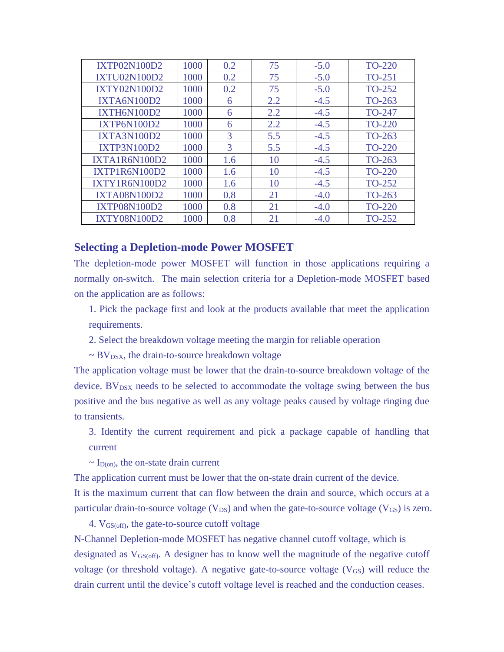| IXTP02N100D2        | 1000 | 0.2 | 75  | $-5.0$ | <b>TO-220</b> |
|---------------------|------|-----|-----|--------|---------------|
| <b>IXTU02N100D2</b> | 1000 | 0.2 | 75  | $-5.0$ | TO-251        |
| IXTY02N100D2        | 1000 | 0.2 | 75  | $-5.0$ | TO-252        |
| <b>IXTA6N100D2</b>  | 1000 | 6   | 2.2 | $-4.5$ | TO-263        |
| <b>IXTH6N100D2</b>  | 1000 | 6   | 2.2 | $-4.5$ | TO-247        |
| <b>IXTP6N100D2</b>  | 1000 | 6   | 2.2 | $-4.5$ | <b>TO-220</b> |
| <b>IXTA3N100D2</b>  | 1000 | 3   | 5.5 | $-4.5$ | TO-263        |
| <b>IXTP3N100D2</b>  | 1000 | 3   | 5.5 | $-4.5$ | <b>TO-220</b> |
| IXTA1R6N100D2       | 1000 | 1.6 | 10  | $-4.5$ | TO-263        |
| IXTP1R6N100D2       | 1000 | 1.6 | 10  | $-4.5$ | <b>TO-220</b> |
| IXTY1R6N100D2       | 1000 | 1.6 | 10  | $-4.5$ | TO-252        |
| <b>IXTA08N100D2</b> | 1000 | 0.8 | 21  | $-4.0$ | TO-263        |
| <b>IXTP08N100D2</b> | 1000 | 0.8 | 21  | $-4.0$ | <b>TO-220</b> |
| <b>IXTY08N100D2</b> | 1000 | 0.8 | 21  | $-4.0$ | TO-252        |

## **Selecting a Depletion-mode Power MOSFET**

The depletion-mode power MOSFET will function in those applications requiring a normally on-switch. The main selection criteria for a Depletion-mode MOSFET based on the application are as follows:

1. Pick the package first and look at the products available that meet the application requirements.

2. Select the breakdown voltage meeting the margin for reliable operation

 $\sim$  BV<sub>DSX</sub>, the drain-to-source breakdown voltage

The application voltage must be lower that the drain-to-source breakdown voltage of the device.  $BV_{DSX}$  needs to be selected to accommodate the voltage swing between the bus positive and the bus negative as well as any voltage peaks caused by voltage ringing due to transients.

3. Identify the current requirement and pick a package capable of handling that current

 $\sim I_{D(0n)}$ , the on-state drain current

The application current must be lower that the on-state drain current of the device.

It is the maximum current that can flow between the drain and source, which occurs at a particular drain-to-source voltage  $(V_{DS})$  and when the gate-to-source voltage  $(V_{GS})$  is zero.

4. VGS(off), the gate-to-source cutoff voltage

N-Channel Depletion-mode MOSFET has negative channel cutoff voltage, which is designated as  $V_{GS(off)}$ . A designer has to know well the magnitude of the negative cutoff voltage (or threshold voltage). A negative gate-to-source voltage  $(V_{GS})$  will reduce the drain current until the device's cutoff voltage level is reached and the conduction ceases.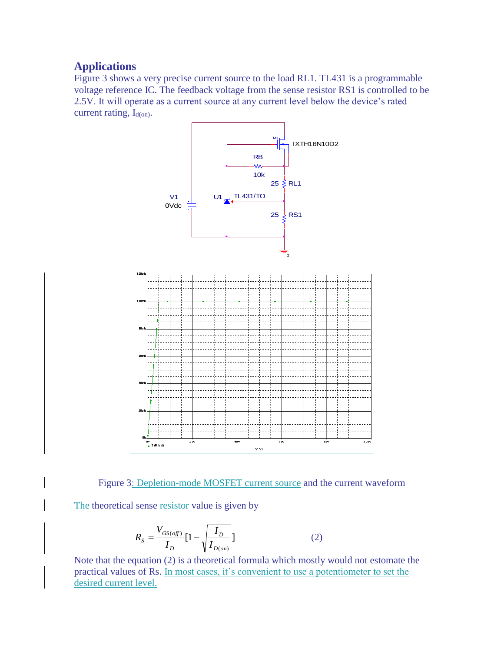# **Applications**

Figure 3 shows a very precise current source to the load RL1. TL431 is a programmable voltage reference IC. The feedback voltage from the sense resistor RS1 is controlled to be 2.5V. It will operate as a current source at any current level below the device's rated current rating,  $I_{d(0n)}$ .



Figure 3: Depletion-mode MOSFET current source and the current waveform

The theoretical sense resistor value is given by

$$
R_{S} = \frac{V_{GS(off)}}{I_{D}} [1 - \sqrt{\frac{I_{D}}{I_{D(on)}}}]
$$
 (2)

Note that the equation (2) is a theoretical formula which mostly would not estomate the practical values of Rs. In most cases, it's convenient to use a potentiometer to set the desired current level.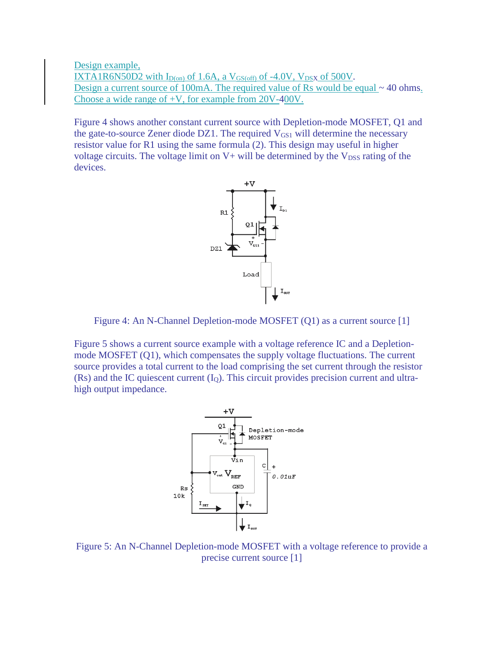Design example,  $IXTA1R6N50D2$  with  $I_{D(on)}$  of 1.6A, a  $V_{GS(off)}$  of -4.0V,  $V_{DSX}$  of 500V. Design a current source of 100mA. The required value of Rs would be equal ~ 40 ohms. Choose a wide range of +V, for example from 20V-400V.

Figure 4 shows another constant current source with Depletion-mode MOSFET, Q1 and the gate-to-source Zener diode DZ1. The required  $V_{GS1}$  will determine the necessary resistor value for R1 using the same formula (2). This design may useful in higher voltage circuits. The voltage limit on  $V+$  will be determined by the  $V<sub>DSS</sub>$  rating of the devices.



Figure 4: An N-Channel Depletion-mode MOSFET (Q1) as a current source [1]

Figure 5 shows a current source example with a voltage reference IC and a Depletionmode MOSFET (Q1), which compensates the supply voltage fluctuations. The current source provides a total current to the load comprising the set current through the resistor  $(Rs)$  and the IC quiescent current  $(I<sub>O</sub>)$ . This circuit provides precision current and ultrahigh output impedance.



Figure 5: An N-Channel Depletion-mode MOSFET with a voltage reference to provide a precise current source [1]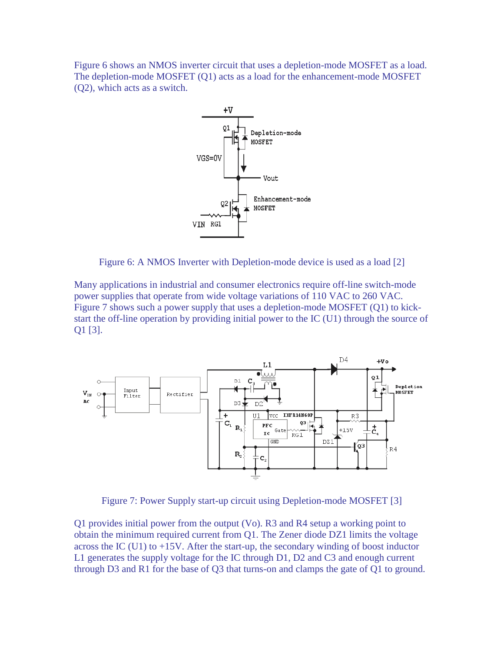Figure 6 shows an NMOS inverter circuit that uses a depletion-mode MOSFET as a load. The depletion-mode MOSFET (Q1) acts as a load for the enhancement-mode MOSFET (Q2), which acts as a switch.



Figure 6: A NMOS Inverter with Depletion-mode device is used as a load [2]

Many applications in industrial and consumer electronics require off-line switch-mode power supplies that operate from wide voltage variations of 110 VAC to 260 VAC. Figure 7 shows such a power supply that uses a depletion-mode MOSFET (Q1) to kickstart the off-line operation by providing initial power to the IC (U1) through the source of Q1 [3].



Figure 7: Power Supply start-up circuit using Depletion-mode MOSFET [3]

Q1 provides initial power from the output (Vo). R3 and R4 setup a working point to obtain the minimum required current from Q1. The Zener diode DZ1 limits the voltage across the IC (U1) to +15V. After the start-up, the secondary winding of boost inductor L1 generates the supply voltage for the IC through D1, D2 and C3 and enough current through D3 and R1 for the base of Q3 that turns-on and clamps the gate of Q1 to ground.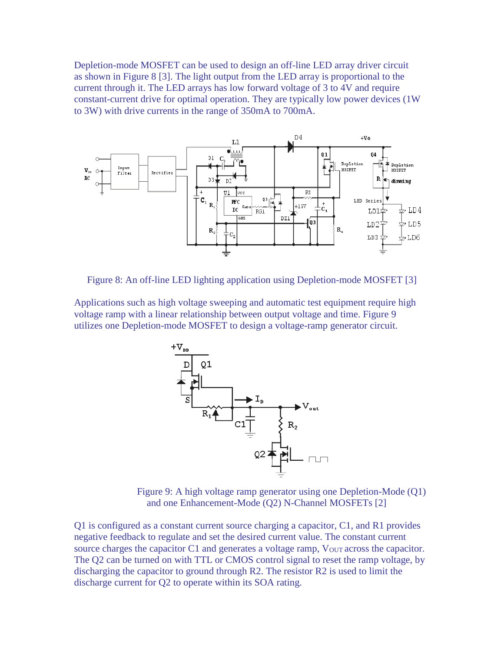Depletion-mode MOSFET can be used to design an off-line LED array driver circuit as shown in Figure 8 [3]. The light output from the LED array is proportional to the current through it. The LED arrays has low forward voltage of 3 to 4V and require constant-current drive for optimal operation. They are typically low power devices (1W to 3W) with drive currents in the range of 350mA to 700mA.



Figure 8: An off-line LED lighting application using Depletion-mode MOSFET [3]

Applications such as high voltage sweeping and automatic test equipment require high voltage ramp with a linear relationship between output voltage and time. Figure 9 utilizes one Depletion-mode MOSFET to design a voltage-ramp generator circuit.



Figure 9: A high voltage ramp generator using one Depletion-Mode (Q1) and one Enhancement-Mode (Q2) N-Channel MOSFETs [2]

Q1 is configured as a constant current source charging a capacitor, C1, and R1 provides negative feedback to regulate and set the desired current value. The constant current source charges the capacitor C1 and generates a voltage ramp,  $V_{OUT}$  across the capacitor. The Q2 can be turned on with TTL or CMOS control signal to reset the ramp voltage, by discharging the capacitor to ground through R2. The resistor R2 is used to limit the discharge current for Q2 to operate within its SOA rating.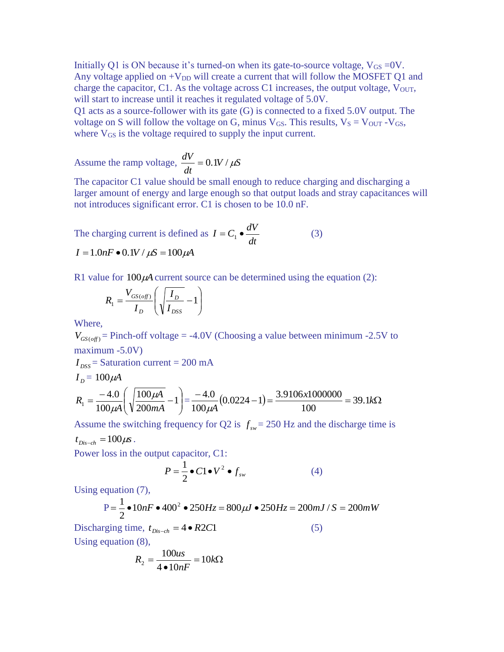Initially Q1 is ON because it's turned-on when its gate-to-source voltage,  $V_{GS} = 0V$ . Any voltage applied on  $+V_{DD}$  will create a current that will follow the MOSFET Q1 and charge the capacitor, C1. As the voltage across C1 increases, the output voltage,  $V_{\text{OUT}}$ , will start to increase until it reaches it regulated voltage of 5.0V.

Q1 acts as a source-follower with its gate (G) is connected to a fixed 5.0V output. The voltage on S will follow the voltage on G, minus  $V_{GS}$ . This results,  $V_S = V_{OUT} - V_{GS}$ , where  $V_{GS}$  is the voltage required to supply the input current.

Assume the ramp voltage,  $\frac{dv}{dx} = 0.1V / \mu S$ *dt*  $\frac{dV}{dt} = 0.1 V / \mu k$ 

The capacitor C1 value should be small enough to reduce charging and discharging a larger amount of energy and large enough so that output loads and stray capacitances will not introduces significant error. C1 is chosen to be 10.0 nF.

The charging current is defined as  $I = C_1 \bullet \frac{dV}{dt}$ (3)  $I = 1.0nF \cdot 0.1V / \mu S = 100 \mu A$ 

R1 value for  $100\mu$ A current source can be determined using the equation (2):

$$
R_1 = \frac{V_{GS(off)}}{I_D} \left( \sqrt{\frac{I_D}{I_{DSS}}} - 1 \right)
$$

Where,

 $V_{GS(\text{off})}$  = Pinch-off voltage = -4.0V (Choosing a value between minimum -2.5V to maximum -5.0V)

 $I_{DSS}$  = Saturation current = 200 mA

$$
I_D = 100\,\mu\text{A}
$$
\n
$$
R_1 = \frac{-4.0}{100\,\mu\text{A}} \left( \sqrt{\frac{100\,\mu\text{A}}{200\,mA}} - 1 \right) = \frac{-4.0}{100\,\mu\text{A}} \left( 0.0224 - 1 \right) = \frac{3.9106 \times 1000000}{100} = 39.1\,\text{k}\Omega
$$

Assume the switching frequency for Q2 is  $f_{sw} = 250$  Hz and the discharge time is

 $t_{Dis-ch} = 100 \mu s$ .

Power loss in the output capacitor, C1:

$$
P = \frac{1}{2} \bullet C1 \bullet V^2 \bullet f_{sw}
$$
 (4)

Using equation (7),

$$
P = \frac{1}{2} \cdot 10nF \cdot 400^2 \cdot 250Hz = 800 \mu J \cdot 250Hz = 200 mJ / S = 200 mW
$$
  
ging time,  $t_{\text{Disc-b}} = 4 \cdot R2C1$  (5)

Discharging time,  $t_{Dis-ch} = 4 \cdot R2C1$ Using equation (8),

$$
R_2 = \frac{100us}{4 \cdot 10nF} = 10k\Omega
$$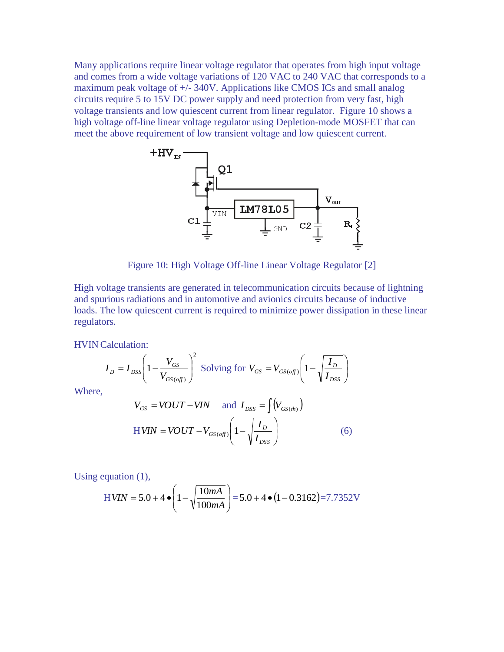Many applications require linear voltage regulator that operates from high input voltage and comes from a wide voltage variations of 120 VAC to 240 VAC that corresponds to a maximum peak voltage of +/- 340V. Applications like CMOS ICs and small analog circuits require 5 to 15V DC power supply and need protection from very fast, high voltage transients and low quiescent current from linear regulator. Figure 10 shows a high voltage off-line linear voltage regulator using Depletion-mode MOSFET that can meet the above requirement of low transient voltage and low quiescent current.



High voltage transients are generated in telecommunication circuits because of lightning and spurious radiations and in automotive and avionics circuits because of inductive loads. The low quiescent current is required to minimize power dissipation in these linear regulators.

HVIN Calculation:

$$
I_D = I_{DSS} \left( 1 - \frac{V_{GS}}{V_{GS(off)}} \right)^2
$$
 Solving for  $V_{GS} = V_{GS(off)} \left( 1 - \sqrt{\frac{I_D}{I_{DSS}}} \right)$ 

Where,

$$
V_{GS} = VOUT - VIN \quad \text{and} \quad I_{DSS} = \int (V_{GS(th)})
$$
  
H
$$
VIN = VOUT - V_{GS(cf)} \left(1 - \sqrt{\frac{I_D}{I_{DSS}}}\right)
$$
 (6)

Using equation (1),

$$
HVIN = 5.0 + 4 \cdot \left(1 - \sqrt{\frac{10mA}{100mA}}\right) = 5.0 + 4 \cdot (1 - 0.3162) = 7.7352V
$$